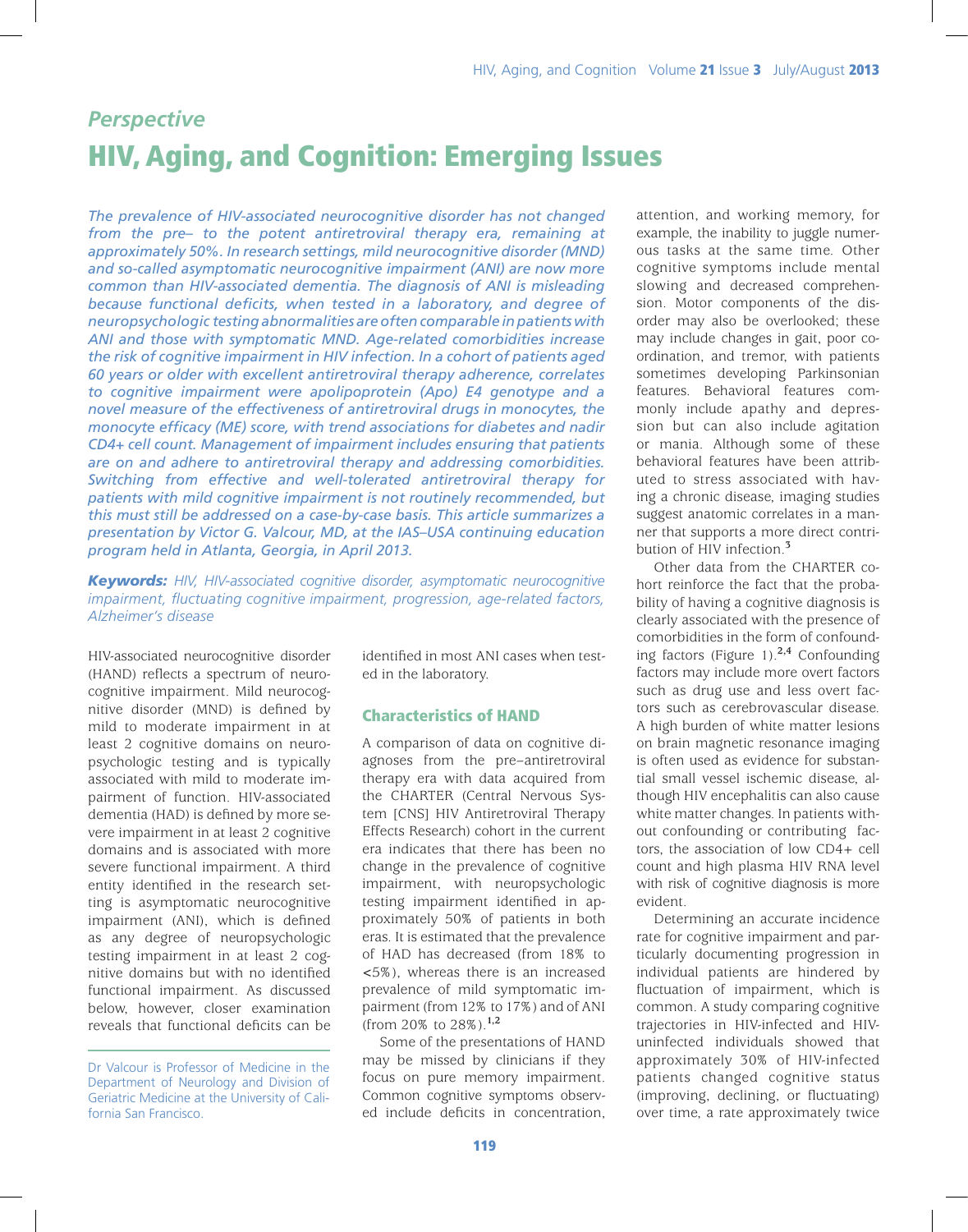# *Perspective* HIV, Aging, and Cognition: Emerging Issues

*The prevalence of HIV-associated neurocognitive disorder has not changed from the pre– to the potent antiretroviral therapy era, remaining at approximately 50%. In research settings, mild neurocognitive disorder (MND) and so-called asymptomatic neurocognitive impairment (ANI) are now more common than HIV-associated dementia. The diagnosis of ANI is misleading because functional deficits, when tested in a laboratory, and degree of neuropsychologic testing abnormalities are often comparable in patients with ANI and those with symptomatic MND. Age-related comorbidities increase the risk of cognitive impairment in HIV infection. In a cohort of patients aged 60 years or older with excellent antiretroviral therapy adherence, correlates to cognitive impairment were apolipoprotein (Apo) E4 genotype and a novel measure of the effectiveness of antiretroviral drugs in monocytes, the monocyte efficacy (ME) score, with trend associations for diabetes and nadir CD4+ cell count. Management of impairment includes ensuring that patients are on and adhere to antiretroviral therapy and addressing comorbidities. Switching from effective and well-tolerated antiretroviral therapy for patients with mild cognitive impairment is not routinely recommended, but this must still be addressed on a case-by-case basis. This article summarizes a presentation by Victor G. Valcour, MD, at the IAS–USA continuing education program held in Atlanta, Georgia, in April 2013.* 

*Keywords: HIV, HIV-associated cognitive disorder, asymptomatic neurocognitive impairment, fluctuating cognitive impairment, progression, age-related factors, Alzheimer's disease*

HIV-associated neurocognitive disorder (HAND) reflects a spectrum of neurocognitive impairment. Mild neurocognitive disorder (MND) is defined by mild to moderate impairment in at least 2 cognitive domains on neuropsychologic testing and is typically associated with mild to moderate impairment of function. HIV-associated dementia (HAD) is defined by more severe impairment in at least 2 cognitive domains and is associated with more severe functional impairment. A third entity identified in the research setting is asymptomatic neurocognitive impairment (ANI), which is defined as any degree of neuropsychologic testing impairment in at least 2 cognitive domains but with no identified functional impairment. As discussed below, however, closer examination reveals that functional deficits can be identified in most ANI cases when tested in the laboratory.

### Characteristics of HAND

A comparison of data on cognitive diagnoses from the pre–antiretroviral therapy era with data acquired from the CHARTER (Central Nervous System [CNS] HIV Antiretroviral Therapy Effects Research) cohort in the current era indicates that there has been no change in the prevalence of cognitive impairment, with neuropsychologic testing impairment identified in approximately 50% of patients in both eras. It is estimated that the prevalence of HAD has decreased (from 18% to <5%), whereas there is an increased prevalence of mild symptomatic impairment (from 12% to 17%) and of ANI (from 20% to 28%).**1,2**

Some of the presentations of HAND may be missed by clinicians if they focus on pure memory impairment. Common cognitive symptoms observed include deficits in concentration,

attention, and working memory, for example, the inability to juggle numerous tasks at the same time. Other cognitive symptoms include mental slowing and decreased comprehension. Motor components of the disorder may also be overlooked; these may include changes in gait, poor coordination, and tremor, with patients sometimes developing Parkinsonian features. Behavioral features commonly include apathy and depression but can also include agitation or mania. Although some of these behavioral features have been attributed to stress associated with having a chronic disease, imaging studies suggest anatomic correlates in a manner that supports a more direct contribution of HIV infection.**<sup>3</sup>**

Other data from the CHARTER cohort reinforce the fact that the probability of having a cognitive diagnosis is clearly associated with the presence of comorbidities in the form of confounding factors (Figure 1).**2,4** Confounding factors may include more overt factors such as drug use and less overt factors such as cerebrovascular disease. A high burden of white matter lesions on brain magnetic resonance imaging is often used as evidence for substantial small vessel ischemic disease, although HIV encephalitis can also cause white matter changes. In patients without confounding or contributing factors, the association of low CD4+ cell count and high plasma HIV RNA level with risk of cognitive diagnosis is more evident.

Determining an accurate incidence rate for cognitive impairment and particularly documenting progression in individual patients are hindered by fluctuation of impairment, which is common. A study comparing cognitive trajectories in HIV-infected and HIVuninfected individuals showed that approximately 30% of HIV-infected patients changed cognitive status (improving, declining, or fluctuating) over time, a rate approximately twice

Dr Valcour is Professor of Medicine in the Department of Neurology and Division of Geriatric Medicine at the University of California San Francisco.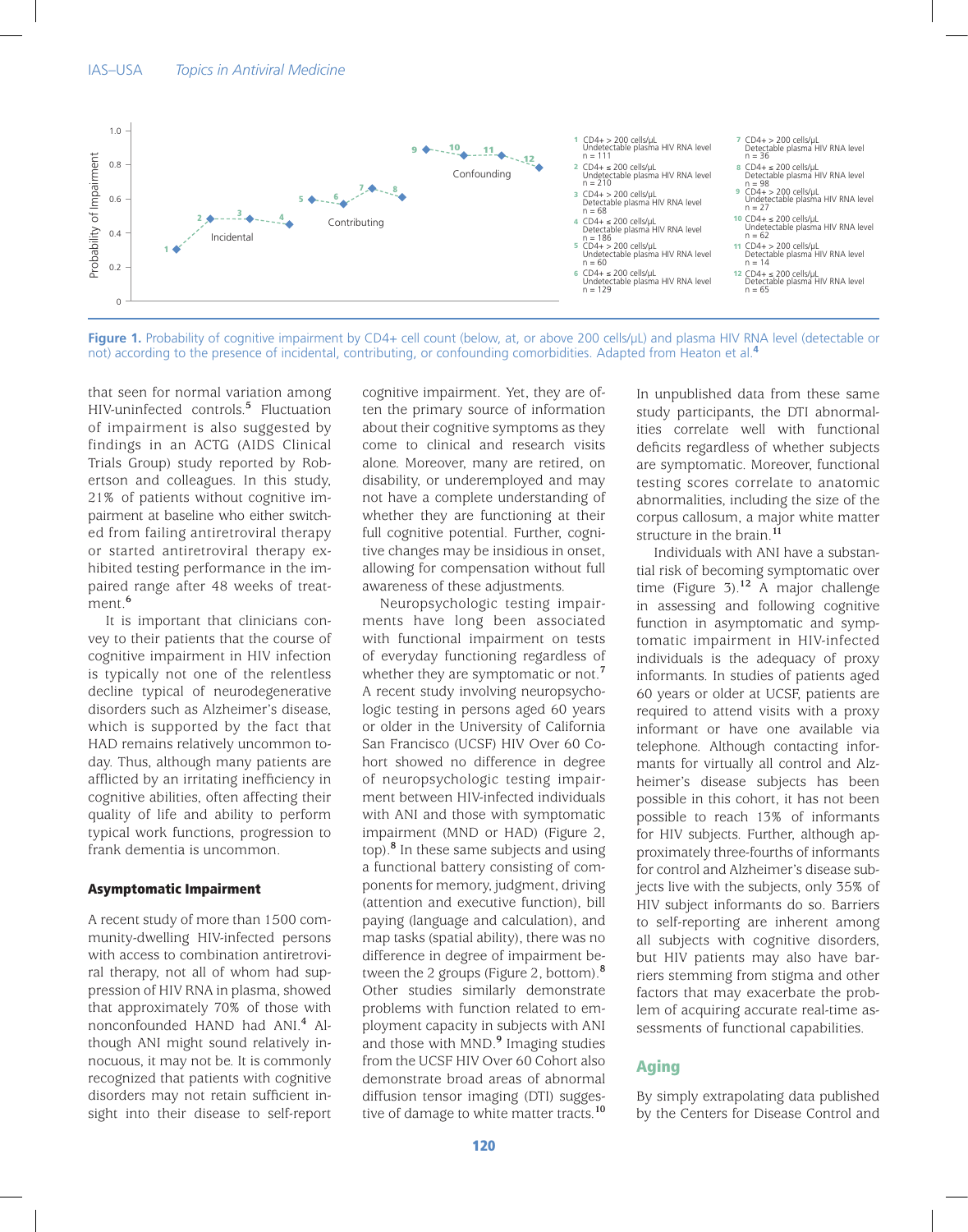

Figure 1. Probability of cognitive impairment by CD4+ cell count (below, at, or above 200 cells/µL) and plasma HIV RNA level (detectable or not) according to the presence of incidental, contributing, or confounding comorbidities. Adapted from Heaton et al.**<sup>4</sup>**

that seen for normal variation among HIV-uninfected controls.**<sup>5</sup>** Fluctuation of impairment is also suggested by findings in an ACTG (AIDS Clinical Trials Group) study reported by Robertson and colleagues. In this study, 21% of patients without cognitive impairment at baseline who either switched from failing antiretroviral therapy or started antiretroviral therapy exhibited testing performance in the impaired range after 48 weeks of treatment.**<sup>6</sup>**

It is important that clinicians convey to their patients that the course of cognitive impairment in HIV infection is typically not one of the relentless decline typical of neurodegenerative disorders such as Alzheimer's disease, which is supported by the fact that HAD remains relatively uncommon today. Thus, although many patients are afflicted by an irritating inefficiency in cognitive abilities, often affecting their quality of life and ability to perform typical work functions, progression to frank dementia is uncommon.

#### Asymptomatic Impairment

A recent study of more than 1500 community-dwelling HIV-infected persons with access to combination antiretroviral therapy, not all of whom had suppression of HIV RNA in plasma, showed that approximately 70% of those with nonconfounded HAND had ANI.**<sup>4</sup>** Although ANI might sound relatively innocuous, it may not be. It is commonly recognized that patients with cognitive disorders may not retain sufficient insight into their disease to self-report cognitive impairment. Yet, they are often the primary source of information about their cognitive symptoms as they come to clinical and research visits alone. Moreover, many are retired, on disability, or underemployed and may not have a complete understanding of whether they are functioning at their full cognitive potential. Further, cognitive changes may be insidious in onset, allowing for compensation without full awareness of these adjustments.

Neuropsychologic testing impairments have long been associated with functional impairment on tests of everyday functioning regardless of whether they are symptomatic or not.**<sup>7</sup>** A recent study involving neuropsychologic testing in persons aged 60 years or older in the University of California San Francisco (UCSF) HIV Over 60 Cohort showed no difference in degree of neuropsychologic testing impairment between HIV-infected individuals with ANI and those with symptomatic impairment (MND or HAD) (Figure 2, top).**<sup>8</sup>** In these same subjects and using a functional battery consisting of components for memory, judgment, driving (attention and executive function), bill paying (language and calculation), and map tasks (spatial ability), there was no difference in degree of impairment between the 2 groups (Figure 2, bottom).**<sup>8</sup>** Other studies similarly demonstrate problems with function related to employment capacity in subjects with ANI and those with MND.**<sup>9</sup>** Imaging studies from the UCSF HIV Over 60 Cohort also demonstrate broad areas of abnormal diffusion tensor imaging (DTI) suggestive of damage to white matter tracts.**<sup>10</sup>**

In unpublished data from these same study participants, the DTI abnormalities correlate well with functional deficits regardless of whether subjects are symptomatic. Moreover, functional testing scores correlate to anatomic abnormalities, including the size of the corpus callosum, a major white matter structure in the brain.**<sup>11</sup>**

Individuals with ANI have a substantial risk of becoming symptomatic over time (Figure 3).**<sup>12</sup>** A major challenge in assessing and following cognitive function in asymptomatic and symptomatic impairment in HIV-infected individuals is the adequacy of proxy informants. In studies of patients aged 60 years or older at UCSF, patients are required to attend visits with a proxy informant or have one available via telephone. Although contacting informants for virtually all control and Alzheimer's disease subjects has been possible in this cohort, it has not been possible to reach 13% of informants for HIV subjects. Further, although approximately three-fourths of informants for control and Alzheimer's disease subjects live with the subjects, only 35% of HIV subject informants do so. Barriers to self-reporting are inherent among all subjects with cognitive disorders, but HIV patients may also have barriers stemming from stigma and other factors that may exacerbate the problem of acquiring accurate real-time assessments of functional capabilities.

# Aging

By simply extrapolating data published by the Centers for Disease Control and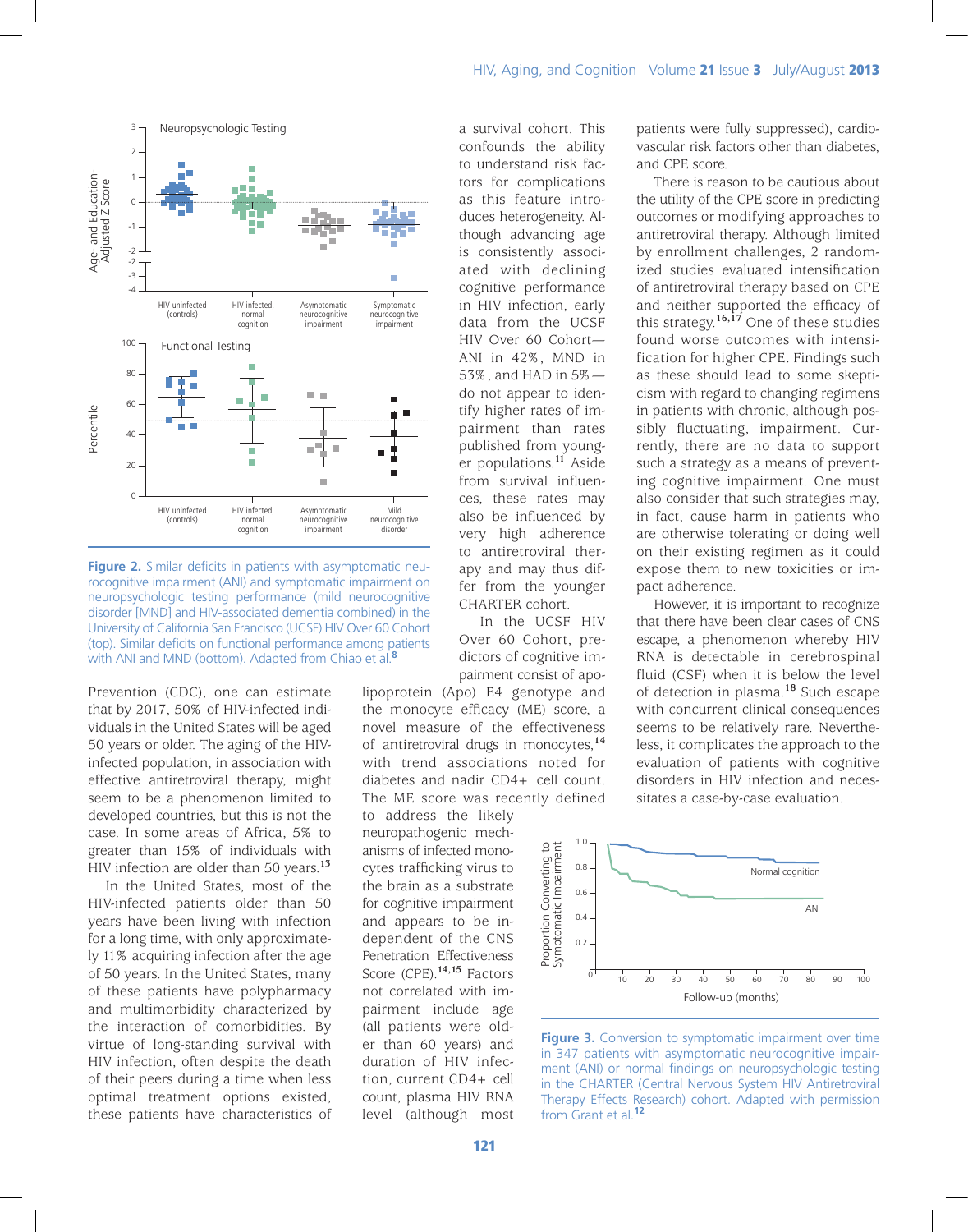



**Figure 2.** Similar deficits in patients with asymptomatic neurocognitive impairment (ANI) and symptomatic impairment on neuropsychologic testing performance (mild neurocognitive disorder [MND] and HIV-associated dementia combined) in the University of California San Francisco (UCSF) HIV Over 60 Cohort (top). Similar deficits on functional performance among patients with ANI and MND (bottom). Adapted from Chiao et al.**<sup>8</sup>**

Prevention (CDC), one can estimate that by 2017, 50% of HIV-infected individuals in the United States will be aged 50 years or older. The aging of the HIVinfected population, in association with effective antiretroviral therapy, might seem to be a phenomenon limited to developed countries, but this is not the case. In some areas of Africa, 5% to greater than 15% of individuals with HIV infection are older than 50 years.**<sup>13</sup>**

In the United States, most of the HIV-infected patients older than 50 years have been living with infection for a long time, with only approximately 11% acquiring infection after the age of 50 years. In the United States, many of these patients have polypharmacy and multimorbidity characterized by the interaction of comorbidities. By virtue of long-standing survival with HIV infection, often despite the death of their peers during a time when less optimal treatment options existed, these patients have characteristics of a survival cohort. This confounds the ability to understand risk factors for complications as this feature introduces heterogeneity. Although advancing age is consistently associated with declining cognitive performance in HIV infection, early data from the UCSF HIV Over 60 Cohort— ANI in 42%, MND in 53%, and HAD in 5% do not appear to identify higher rates of impairment than rates published from younger populations.**<sup>11</sup>** Aside from survival influences, these rates may also be influenced by very high adherence to antiretroviral therapy and may thus differ from the younger CHARTER cohort.

In the UCSF HIV Over 60 Cohort, predictors of cognitive impairment consist of apo-

lipoprotein (Apo) E4 genotype and the monocyte efficacy (ME) score, a novel measure of the effectiveness of antiretroviral drugs in monocytes,**<sup>14</sup>** with trend associations noted for diabetes and nadir CD4+ cell count. The ME score was recently defined

to address the likely neuropathogenic mechanisms of infected monocytes trafficking virus to the brain as a substrate for cognitive impairment and appears to be independent of the CNS Penetration Effectiveness Score (CPE).**14,15** Factors not correlated with impairment include age (all patients were older than 60 years) and duration of HIV infection, current CD4+ cell count, plasma HIV RNA level (although most

patients were fully suppressed), cardiovascular risk factors other than diabetes, and CPE score.

There is reason to be cautious about the utility of the CPE score in predicting outcomes or modifying approaches to antiretroviral therapy. Although limited by enrollment challenges, 2 randomized studies evaluated intensification of antiretroviral therapy based on CPE and neither supported the efficacy of this strategy.**16,17** One of these studies found worse outcomes with intensification for higher CPE. Findings such as these should lead to some skepticism with regard to changing regimens in patients with chronic, although possibly fluctuating, impairment. Currently, there are no data to support such a strategy as a means of preventing cognitive impairment. One must also consider that such strategies may, in fact, cause harm in patients who are otherwise tolerating or doing well on their existing regimen as it could expose them to new toxicities or impact adherence.

However, it is important to recognize that there have been clear cases of CNS escape, a phenomenon whereby HIV RNA is detectable in cerebrospinal fluid (CSF) when it is below the level of detection in plasma.**<sup>18</sup>** Such escape with concurrent clinical consequences seems to be relatively rare. Nevertheless, it complicates the approach to the evaluation of patients with cognitive disorders in HIV infection and necessitates a case-by-case evaluation.



**Figure 3.** Conversion to symptomatic impairment over time in 347 patients with asymptomatic neurocognitive impairment (ANI) or normal findings on neuropsychologic testing in the CHARTER (Central Nervous System HIV Antiretroviral Therapy Effects Research) cohort. Adapted with permission from Grant et al.**<sup>12</sup>**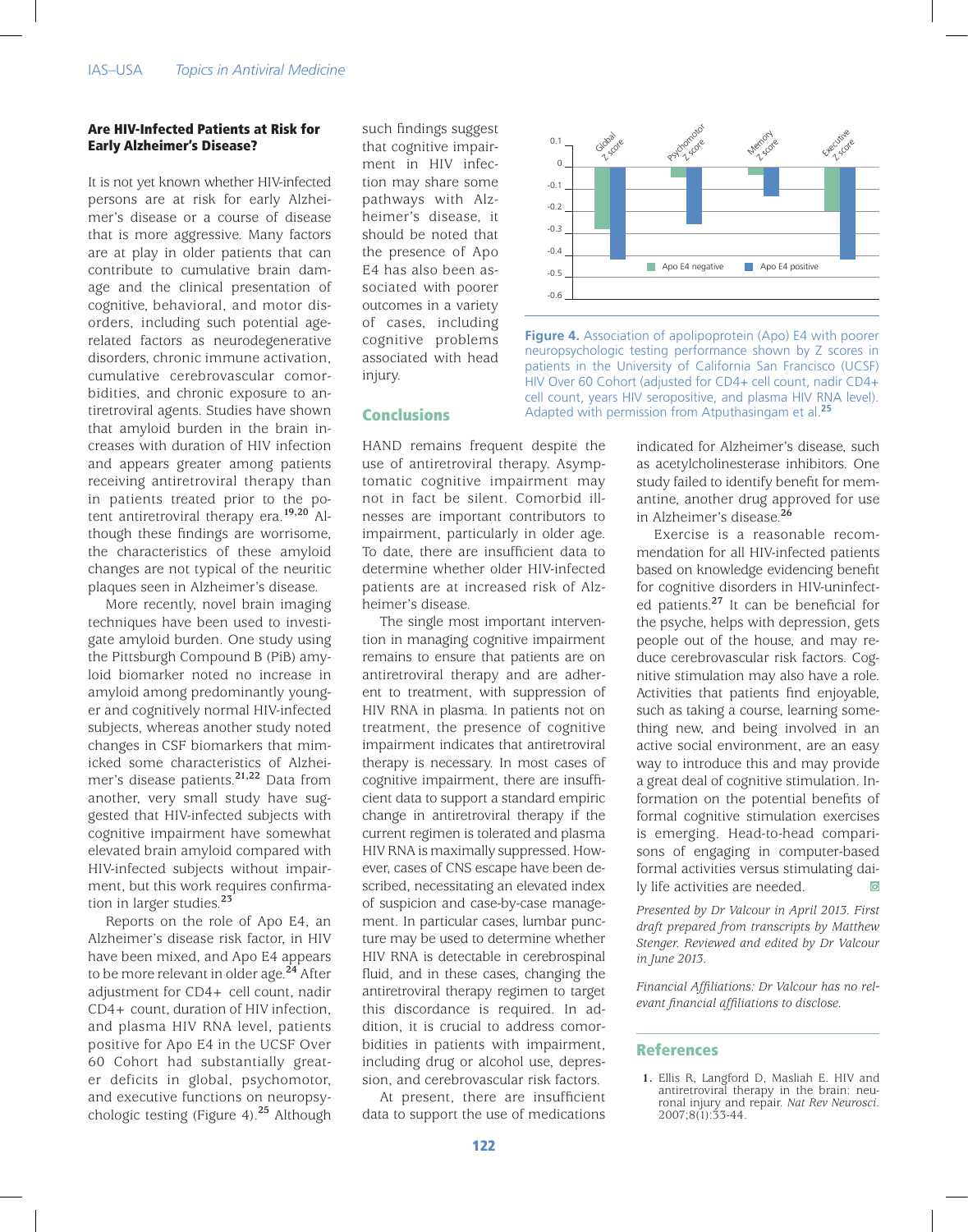#### Are HIV-Infected Patients at Risk for Early Alzheimer's Disease?

It is not yet known whether HIV-infected persons are at risk for early Alzheimer's disease or a course of disease that is more aggressive. Many factors are at play in older patients that can contribute to cumulative brain damage and the clinical presentation of cognitive, behavioral, and motor disorders, including such potential agerelated factors as neurodegenerative disorders, chronic immune activation, cumulative cerebrovascular comorbidities, and chronic exposure to antiretroviral agents. Studies have shown that amyloid burden in the brain increases with duration of HIV infection and appears greater among patients receiving antiretroviral therapy than in patients treated prior to the potent antiretroviral therapy era.**19,20** Although these findings are worrisome, the characteristics of these amyloid changes are not typical of the neuritic plaques seen in Alzheimer's disease.

More recently, novel brain imaging techniques have been used to investigate amyloid burden. One study using the Pittsburgh Compound B (PiB) amyloid biomarker noted no increase in amyloid among predominantly younger and cognitively normal HIV-infected subjects, whereas another study noted changes in CSF biomarkers that mimicked some characteristics of Alzheimer's disease patients.**21,22** Data from another, very small study have suggested that HIV-infected subjects with cognitive impairment have somewhat elevated brain amyloid compared with HIV-infected subjects without impairment, but this work requires confirmation in larger studies.**<sup>23</sup>**

Reports on the role of Apo E4, an Alzheimer's disease risk factor, in HIV have been mixed, and Apo E4 appears to be more relevant in older age.**<sup>24</sup>** After adjustment for CD4+ cell count, nadir CD4+ count, duration of HIV infection, and plasma HIV RNA level, patients positive for Apo E4 in the UCSF Over 60 Cohort had substantially greater deficits in global, psychomotor, and executive functions on neuropsychologic testing (Figure 4).**<sup>25</sup>** Although

such findings suggest that cognitive impairment in HIV infection may share some pathways with Alzheimer's disease, it should be noted that the presence of Apo E4 has also been associated with poorer outcomes in a variety of cases, including cognitive problems associated with head injury.

## Conclusions

HAND remains frequent despite the use of antiretroviral therapy. Asymptomatic cognitive impairment may not in fact be silent. Comorbid illnesses are important contributors to impairment, particularly in older age. To date, there are insufficient data to determine whether older HIV-infected patients are at increased risk of Alzheimer's disease.

The single most important intervention in managing cognitive impairment remains to ensure that patients are on antiretroviral therapy and are adherent to treatment, with suppression of HIV RNA in plasma. In patients not on treatment, the presence of cognitive impairment indicates that antiretroviral therapy is necessary. In most cases of cognitive impairment, there are insufficient data to support a standard empiric change in antiretroviral therapy if the current regimen is tolerated and plasma HIV RNA is maximally suppressed. However, cases of CNS escape have been described, necessitating an elevated index of suspicion and case-by-case management. In particular cases, lumbar puncture may be used to determine whether HIV RNA is detectable in cerebrospinal fluid, and in these cases, changing the antiretroviral therapy regimen to target this discordance is required. In addition, it is crucial to address comorbidities in patients with impairment, including drug or alcohol use, depression, and cerebrovascular risk factors.

At present, there are insufficient data to support the use of medications



**Figure 4.** Association of apolipoprotein (Apo) E4 with poorer neuropsychologic testing performance shown by Z scores in patients in the University of California San Francisco (UCSF) HIV Over 60 Cohort (adjusted for CD4+ cell count, nadir CD4+ cell count, years HIV seropositive, and plasma HIV RNA level). Adapted with permission from Atputhasingam et al.**<sup>25</sup>**

indicated for Alzheimer's disease, such as acetylcholinesterase inhibitors. One study failed to identify benefit for memantine, another drug approved for use in Alzheimer's disease.**<sup>26</sup>**

Exercise is a reasonable recommendation for all HIV-infected patients based on knowledge evidencing benefit for cognitive disorders in HIV-uninfected patients.**<sup>27</sup>** It can be beneficial for the psyche, helps with depression, gets people out of the house, and may reduce cerebrovascular risk factors. Cognitive stimulation may also have a role. Activities that patients find enjoyable, such as taking a course, learning something new, and being involved in an active social environment, are an easy way to introduce this and may provide a great deal of cognitive stimulation. Information on the potential benefits of formal cognitive stimulation exercises is emerging. Head-to-head comparisons of engaging in computer-based formal activities versus stimulating daily life activities are needed.

*Presented by Dr Valcour in April 2013. First draft prepared from transcripts by Matthew Stenger. Reviewed and edited by Dr Valcour in June 2013.*

*Financial Affiliations: Dr Valcour has no relevant financial affiliations to disclose.*

#### **References**

**1.** Ellis R, Langford D, Masliah E. HIV and antiretroviral therapy in the brain: neuronal injury and repair. *Nat Rev Neurosci*. 2007;8(1):33-44.